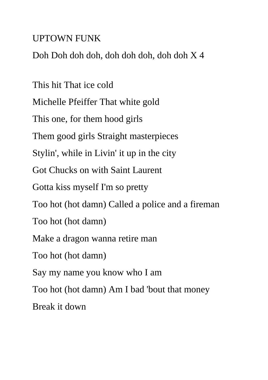## UPTOWN FUNK

Doh Doh doh doh, doh doh doh, doh doh X 4

This hit That ice cold Michelle Pfeiffer That white gold This one, for them hood girls Them good girls Straight masterpieces Stylin', while in Livin' it up in the city Got Chucks on with Saint Laurent Gotta kiss myself I'm so pretty Too hot (hot damn) Called a police and a fireman Too hot (hot damn) Make a dragon wanna retire man Too hot (hot damn) Say my name you know who I am Too hot (hot damn) Am I bad 'bout that money Break it down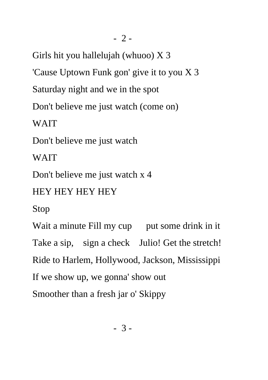Girls hit you hallelujah (whuoo) X 3

'Cause Uptown Funk gon' give it to you X 3

Saturday night and we in the spot

Don't believe me just watch (come on)

WAIT

Don't believe me just watch

WAIT

Don't believe me just watch x 4

HEY HEY HEY HEY

Stop

Wait a minute Fill my cup put some drink in it Take a sip, sign a check Julio! Get the stretch! Ride to Harlem, Hollywood, Jackson, Mississippi If we show up, we gonna' show out Smoother than a fresh jar o' Skippy